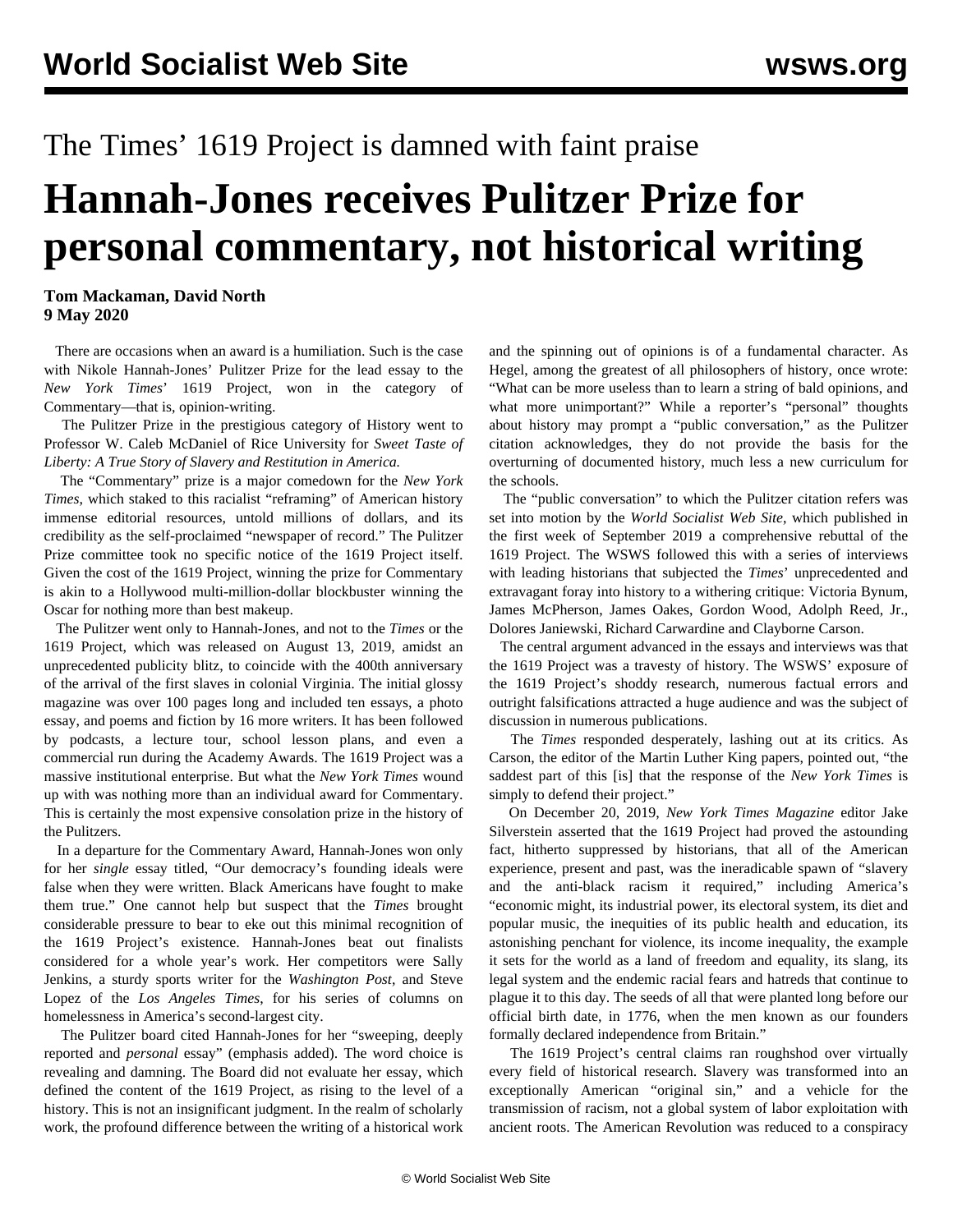## The Times' 1619 Project is damned with faint praise

## **Hannah-Jones receives Pulitzer Prize for personal commentary, not historical writing**

**Tom Mackaman, David North 9 May 2020**

 There are occasions when an award is a humiliation. Such is the case with Nikole Hannah-Jones' Pulitzer Prize for the lead essay to the *New York Times*' 1619 Project, won in the category of Commentary—that is, opinion-writing.

 The Pulitzer Prize in the prestigious category of History went to Professor W. Caleb McDaniel of Rice University for *Sweet Taste of Liberty: A True Story of Slavery and Restitution in America.*

 The "Commentary" prize is a major comedown for the *New York Times*, which staked to this racialist "reframing" of American history immense editorial resources, untold millions of dollars, and its credibility as the self-proclaimed "newspaper of record." The Pulitzer Prize committee took no specific notice of the 1619 Project itself. Given the cost of the 1619 Project, winning the prize for Commentary is akin to a Hollywood multi-million-dollar blockbuster winning the Oscar for nothing more than best makeup.

 The Pulitzer went only to Hannah-Jones, and not to the *Times* or the 1619 Project, which was released on August 13, 2019, amidst an unprecedented publicity blitz, to coincide with the 400th anniversary of the arrival of the first slaves in colonial Virginia. The initial glossy magazine was over 100 pages long and included ten essays, a photo essay, and poems and fiction by 16 more writers. It has been followed by podcasts, a lecture tour, school lesson plans, and even a commercial run during the Academy Awards. The 1619 Project was a massive institutional enterprise. But what the *New York Times* wound up with was nothing more than an individual award for Commentary. This is certainly the most expensive consolation prize in the history of the Pulitzers.

 In a departure for the Commentary Award, Hannah-Jones won only for her *single* essay titled, "Our democracy's founding ideals were false when they were written. Black Americans have fought to make them true." One cannot help but suspect that the *Times* brought considerable pressure to bear to eke out this minimal recognition of the 1619 Project's existence. Hannah-Jones beat out finalists considered for a whole year's work. Her competitors were Sally Jenkins, a sturdy sports writer for the *Washington Post*, and Steve Lopez of the *Los Angeles Times*, for his series of columns on homelessness in America's second-largest city.

 The Pulitzer board cited Hannah-Jones for her "sweeping, deeply reported and *personal* essay" (emphasis added). The word choice is revealing and damning. The Board did not evaluate her essay, which defined the content of the 1619 Project, as rising to the level of a history. This is not an insignificant judgment. In the realm of scholarly work, the profound difference between the writing of a historical work

and the spinning out of opinions is of a fundamental character. As Hegel, among the greatest of all philosophers of history, once wrote: "What can be more useless than to learn a string of bald opinions, and what more unimportant?" While a reporter's "personal" thoughts about history may prompt a "public conversation," as the Pulitzer citation acknowledges, they do not provide the basis for the overturning of documented history, much less a new curriculum for the schools.

 The "public conversation" to which the Pulitzer citation refers was set into motion by the *World Socialist Web Site*, which published in the first week of September 2019 a comprehensive rebuttal of the 1619 Project. The WSWS followed this with a series of interviews with leading historians that subjected the *Times*' unprecedented and extravagant foray into history to a withering critique: [Victoria Bynum](/en/articles/2019/10/30/bynu-o30.html), [James McPherson](/en/articles/2019/11/14/mcph-n14.html), [James Oakes](/en/articles/2019/11/18/oake-n18.html), [Gordon Wood](/en/articles/2019/11/28/wood-n28.html), [Adolph Reed, Jr.](/en/articles/2019/12/20/reed-d20.html), [Dolores Janiewski](/en/articles/2019/12/23/inte-d23.html), [Richard Carwardine](/en/articles/2019/12/31/carw-d31.html) and [Clayborne Carson](/en/articles/2020/01/15/clay-j15.html).

 The central argument advanced in the essays and interviews was that the 1619 Project was a travesty of history. The WSWS' exposure of the 1619 Project's shoddy research, numerous factual errors and outright falsifications attracted a huge audience and was the subject of discussion in numerous publications.

 The *Times* responded desperately, lashing out at its critics. As Carson, the editor of the Martin Luther King papers, pointed out, "the saddest part of this [is] that the response of the *New York Times* is simply to defend their project."

 On December 20, 2019, *New York Times Magazine* editor Jake Silverstein asserted that the 1619 Project had proved the astounding fact, hitherto suppressed by historians, that all of the American experience, present and past, was the ineradicable spawn of "slavery and the anti-black racism it required," including America's "economic might, its industrial power, its electoral system, its diet and popular music, the inequities of its public health and education, its astonishing penchant for violence, its income inequality, the example it sets for the world as a land of freedom and equality, its slang, its legal system and the endemic racial fears and hatreds that continue to plague it to this day. The seeds of all that were planted long before our official birth date, in 1776, when the men known as our founders formally declared independence from Britain."

 The 1619 Project's central claims ran roughshod over virtually every field of historical research. Slavery was transformed into an exceptionally American "original sin," and a vehicle for the transmission of racism, not a global system of labor exploitation with ancient roots. The American Revolution was reduced to a conspiracy